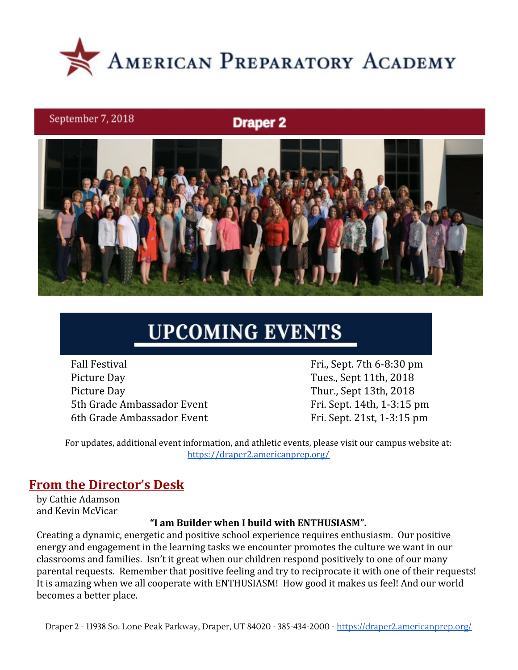

### September 7, 2018

**Draper 2** 



# **UPCOMING EVENTS**

Fall Festival Fri., Sept. 7th 6-8:30 pm Picture Day Tues., Sept 11th, 2018 Picture Day Thur., Sept 13th, 2018 5th Grade Ambassador Event Fri. Sept. 14th, 1-3:15 pm 6th Grade Ambassador Event Fri. Sept. 21st, 1-3:15 pm

For updates, additional event information, and athletic events, please visit our campus website at: <https://draper2.americanprep.org/>

### **From the Director's Desk**

by Cathie Adamson and Kevin McVicar

### **"I am Builder when I build with ENTHUSIASM".**

Creating a dynamic, energetic and positive school experience requires enthusiasm. Our positive energy and engagement in the learning tasks we encounter promotes the culture we want in our classrooms and families. Isn't it great when our children respond positively to one of our many parental requests. Remember that positive feeling and try to reciprocate it with one of their requests! It is amazing when we all cooperate with ENTHUSIASM! How good it makes us feel! And our world becomes a better place.

Draper 2 - 11938 So. Lone Peak Parkway, Draper, UT 84020 - 385-434-2000 - <https://draper2.americanprep.org/>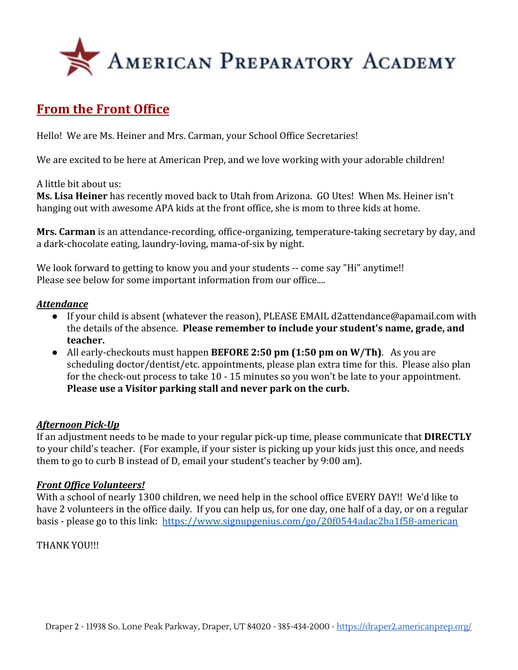

# **From the Front Office**

Hello! We are Ms. Heiner and Mrs. Carman, your School Office Secretaries!

We are excited to be here at American Prep, and we love working with your adorable children!

A little bit about us:

**Ms. Lisa Heiner** has recently moved back to Utah from Arizona. GO Utes! When Ms. Heiner isn't hanging out with awesome APA kids at the front office, she is mom to three kids at home.

**Mrs. Carman** is an attendance-recording, office-organizing, temperature-taking secretary by day, and a dark-chocolate eating, laundry-loving, mama-of-six by night.

We look forward to getting to know you and your students -- come say "Hi" anytime!! Please see below for some important information from our office....

### *Attendance*

- If your child is absent (whatever the reason), PLEASE EMAIL d2attendance@apamail.com with the details of the absence. **Please remember to include your student's name, grade, and teacher.**
- All early-checkouts must happen **BEFORE 2:50 pm (1:50 pm on W/Th)**. As you are scheduling doctor/dentist/etc. appointments, please plan extra time for this. Please also plan for the check-out process to take 10 - 15 minutes so you won't be late to your appointment. **Please use a Visitor parking stall and never park on the curb.**

### *Afternoon Pick-Up*

If an adjustment needs to be made to your regular pick-up time, please communicate that **DIRECTLY** to your child's teacher. (For example, if your sister is picking up your kids just this once, and needs them to go to curb B instead of D, email your student's teacher by 9:00 am).

### *Front Office Volunteers!*

With a school of nearly 1300 children, we need help in the school office EVERY DAY!! We'd like to have 2 volunteers in the office daily. If you can help us, for one day, one half of a day, or on a regular basis - please go to this link: <https://www.signupgenius.com/go/20f0544adac2ba1f58-american>

### THANK YOU!!!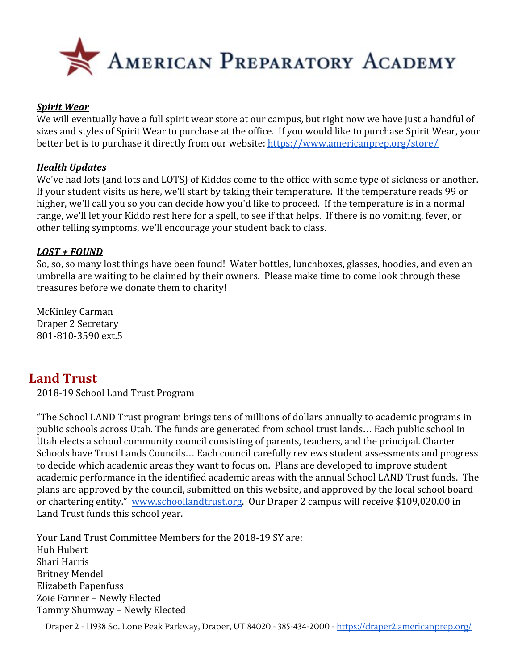

#### *Spirit Wear*

We will eventually have a full spirit wear store at our campus, but right now we have just a handful of sizes and styles of Spirit Wear to purchase at the office. If you would like to purchase Spirit Wear, your better bet is to purchase it directly from our website:<https://www.americanprep.org/store/>

#### *Health Updates*

We've had lots (and lots and LOTS) of Kiddos come to the office with some type of sickness or another. If your student visits us here, we'll start by taking their temperature. If the temperature reads 99 or higher, we'll call you so you can decide how you'd like to proceed. If the temperature is in a normal range, we'll let your Kiddo rest here for a spell, to see if that helps. If there is no vomiting, fever, or other telling symptoms, we'll encourage your student back to class.

#### *LOST + FOUND*

So, so, so many lost things have been found! Water bottles, lunchboxes, glasses, hoodies, and even an umbrella are waiting to be claimed by their owners. Please make time to come look through these treasures before we donate them to charity!

McKinley Carman Draper 2 Secretary 801-810-3590 ext.5

### **Land Trust**

2018-19 School Land Trust Program

"The School LAND Trust program brings tens of millions of dollars annually to academic programs in public schools across Utah. The funds are generated from school trust lands… Each public school in Utah elects a school community council consisting of parents, teachers, and the principal. Charter Schools have Trust Lands Councils… Each council carefully reviews student assessments and progress to decide which academic areas they want to focus on. Plans are developed to improve student academic performance in the identified academic areas with the annual School LAND Trust funds. The plans are approved by the council, submitted on this website, and approved by the local school board or chartering entity." [www.schoollandtrust.org](http://www.schoollandtrust.org/). Our Draper 2 campus will receive \$109,020.00 in Land Trust funds this school year.

Your Land Trust Committee Members for the 2018-19 SY are: Huh Hubert Shari Harris Britney Mendel Elizabeth Papenfuss Zoie Farmer – Newly Elected Tammy Shumway – Newly Elected

Draper 2 - 11938 So. Lone Peak Parkway, Draper, UT 84020 - 385-434-2000 - <https://draper2.americanprep.org/>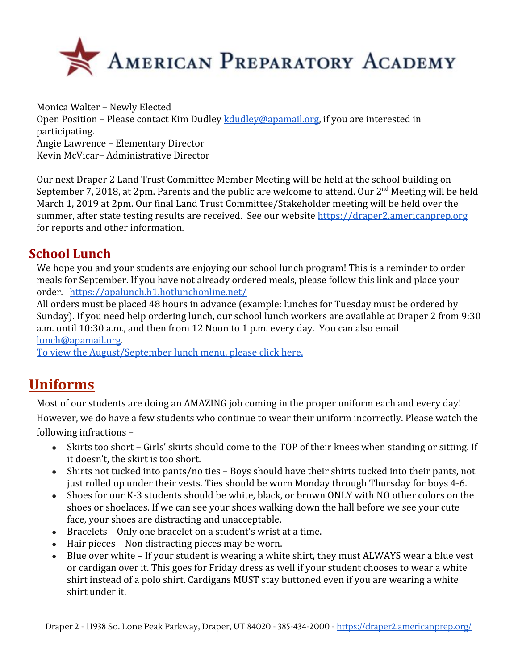

Monica Walter – Newly Elected Open Position – Please contact Kim Dudley [kdudley@apamail.org](mailto:kdudley@apamail.org), if you are interested in participating. Angie Lawrence – Elementary Director Kevin McVicar– Administrative Director

Our next Draper 2 Land Trust Committee Member Meeting will be held at the school building on September 7, 2018, at 2pm. Parents and the public are welcome to attend. Our 2<sup>nd</sup> Meeting will be held March 1, 2019 at 2pm. Our final Land Trust Committee/Stakeholder meeting will be held over the summer, after state testing results are received. See our website [https://draper2.americanprep.org](https://draper2.americanprep.org/) for reports and other information.

# **School Lunch**

We hope you and your students are enjoying our school lunch program! This is a reminder to order meals for September. If you have not already ordered meals, please follow this link and place your order. <https://apalunch.h1.hotlunchonline.net/>

All orders must be placed 48 hours in advance (example: lunches for Tuesday must be ordered by Sunday). If you need help ordering lunch, our school lunch workers are available at Draper 2 from 9:30 a.m. until 10:30 a.m., and then from 12 Noon to 1 p.m. every day. You can also email [lunch@apamail.org](mailto:lunch@apamail.org).

[To view the August/September lunch menu, please click here.](https://draper3.americanprep.org/wp-content/uploads/sites/276/2018/08/Menu-Aug-Sept-2018.pdf)

# **Uniforms**

Most of our students are doing an AMAZING job coming in the proper uniform each and every day! However, we do have a few students who continue to wear their uniform incorrectly. Please watch the following infractions –

- Skirts too short Girls' skirts should come to the TOP of their knees when standing or sitting. If it doesn't, the skirt is too short.
- Shirts not tucked into pants/no ties Boys should have their shirts tucked into their pants, not just rolled up under their vests. Ties should be worn Monday through Thursday for boys 4-6.
- Shoes for our K-3 students should be white, black, or brown ONLY with NO other colors on the shoes or shoelaces. If we can see your shoes walking down the hall before we see your cute face, your shoes are distracting and unacceptable.
- Bracelets Only one bracelet on a student's wrist at a time.
- Hair pieces Non distracting pieces may be worn.
- Blue over white If your student is wearing a white shirt, they must ALWAYS wear a blue vest or cardigan over it. This goes for Friday dress as well if your student chooses to wear a white shirt instead of a polo shirt. Cardigans MUST stay buttoned even if you are wearing a white shirt under it.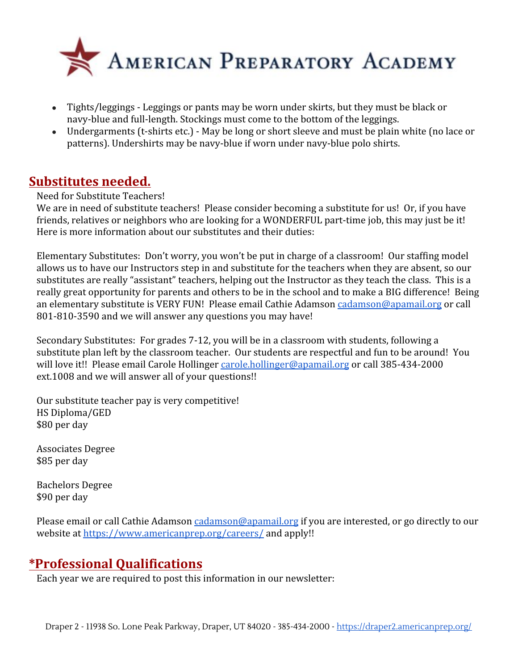

- Tights/leggings Leggings or pants may be worn under skirts, but they must be black or navy-blue and full-length. Stockings must come to the bottom of the leggings.
- Undergarments (t-shirts etc.) May be long or short sleeve and must be plain white (no lace or patterns). Undershirts may be navy-blue if worn under navy-blue polo shirts.

## **Substitutes needed.**

Need for Substitute Teachers!

We are in need of substitute teachers! Please consider becoming a substitute for us! Or, if you have friends, relatives or neighbors who are looking for a WONDERFUL part-time job, this may just be it! Here is more information about our substitutes and their duties:

Elementary Substitutes: Don't worry, you won't be put in charge of a classroom! Our staffing model allows us to have our Instructors step in and substitute for the teachers when they are absent, so our substitutes are really "assistant" teachers, helping out the Instructor as they teach the class. This is a really great opportunity for parents and others to be in the school and to make a BIG difference! Being an elementary substitute is VERY FUN! Please email Cathie Adamson [cadamson@apamail.org](mailto:cadamson@apamail.org) or call 801-810-3590 and we will answer any questions you may have!

Secondary Substitutes: For grades 7-12, you will be in a classroom with students, following a substitute plan left by the classroom teacher. Our students are respectful and fun to be around! You will love it!! Please email Carole Hollinger [carole.hollinger@apamail.org](mailto:carole.hollinger@apamail.org) or call 385-434-2000 ext.1008 and we will answer all of your questions!!

Our substitute teacher pay is very competitive! HS Diploma/GED \$80 per day

Associates Degree \$85 per day

Bachelors Degree \$90 per day

Please email or call Cathie Adamson [cadamson@apamail.org](mailto:cadamson@apamail.org) if you are interested, or go directly to our website at<https://www.americanprep.org/careers/>and apply!!

# **\*Professional Qualifications**

Each year we are required to post this information in our newsletter: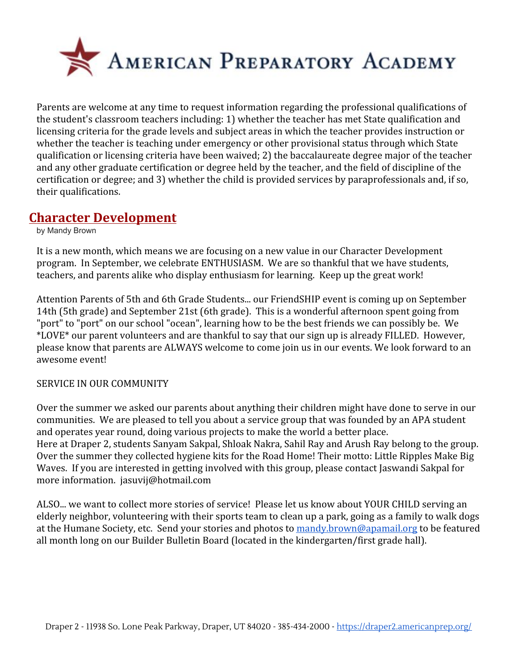

Parents are welcome at any time to request information regarding the professional qualifications of the student's classroom teachers including: 1) whether the teacher has met State qualification and licensing criteria for the grade levels and subject areas in which the teacher provides instruction or whether the teacher is teaching under emergency or other provisional status through which State qualification or licensing criteria have been waived; 2) the baccalaureate degree major of the teacher and any other graduate certification or degree held by the teacher, and the field of discipline of the certification or degree; and 3) whether the child is provided services by paraprofessionals and, if so, their qualifications.

## **Character Development**

by Mandy Brown

It is a new month, which means we are focusing on a new value in our Character Development program. In September, we celebrate ENTHUSIASM. We are so thankful that we have students, teachers, and parents alike who display enthusiasm for learning. Keep up the great work!

Attention Parents of 5th and 6th Grade Students... our FriendSHIP event is coming up on September 14th (5th grade) and September 21st (6th grade). This is a wonderful afternoon spent going from "port" to "port" on our school "ocean", learning how to be the best friends we can possibly be. We \*LOVE\* our parent volunteers and are thankful to say that our sign up is already FILLED. However, please know that parents are ALWAYS welcome to come join us in our events. We look forward to an awesome event!

### SERVICE IN OUR COMMUNITY

Over the summer we asked our parents about anything their children might have done to serve in our communities. We are pleased to tell you about a service group that was founded by an APA student and operates year round, doing various projects to make the world a better place. Here at Draper 2, students Sanyam Sakpal, Shloak Nakra, Sahil Ray and Arush Ray belong to the group. Over the summer they collected hygiene kits for the Road Home! Their motto: Little Ripples Make Big Waves. If you are interested in getting involved with this group, please contact Jaswandi Sakpal for more information. jasuvij@hotmail.com

ALSO... we want to collect more stories of service! Please let us know about YOUR CHILD serving an elderly neighbor, volunteering with their sports team to clean up a park, going as a family to walk dogs at the Humane Society, etc. Send your stories and photos to [mandy.brown@apamail.org](mailto:mandy.brown@apamail.org) to be featured all month long on our Builder Bulletin Board (located in the kindergarten/first grade hall).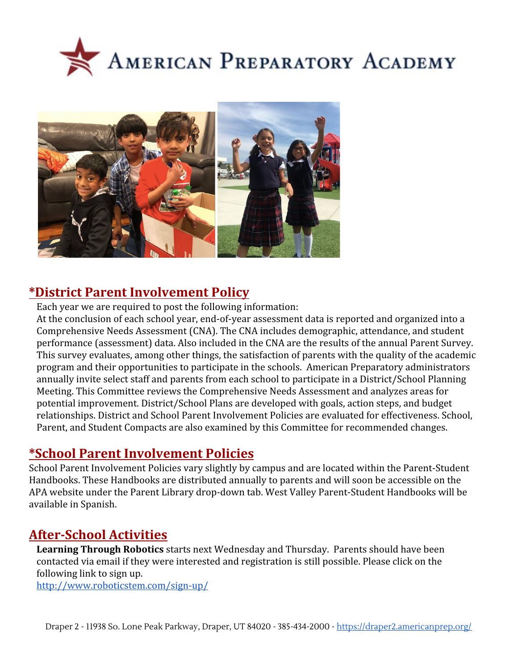



# **\*District Parent Involvement Policy**

Each year we are required to post the following information:

At the conclusion of each school year, end-of-year assessment data is reported and organized into a Comprehensive Needs Assessment (CNA). The CNA includes demographic, attendance, and student performance (assessment) data. Also included in the CNA are the results of the annual Parent Survey. This survey evaluates, among other things, the satisfaction of parents with the quality of the academic program and their opportunities to participate in the schools. American Preparatory administrators annually invite select staff and parents from each school to participate in a District/School Planning Meeting. This Committee reviews the Comprehensive Needs Assessment and analyzes areas for potential improvement. District/School Plans are developed with goals, action steps, and budget relationships. District and School Parent Involvement Policies are evaluated for effectiveness. School, Parent, and Student Compacts are also examined by this Committee for recommended changes.

# **\*School Parent Involvement Policies**

School Parent Involvement Policies vary slightly by campus and are located within the Parent-Student Handbooks. These Handbooks are distributed annually to parents and will soon be accessible on the APA website under the Parent Library drop-down tab. West Valley Parent-Student Handbooks will be available in Spanish.

# **After-School Activities**

**Learning Through Robotics** starts next Wednesday and Thursday. Parents should have been contacted via email if they were interested and registration is still possible. Please click on the following link to sign up.

<http://www.roboticstem.com/sign-up/>